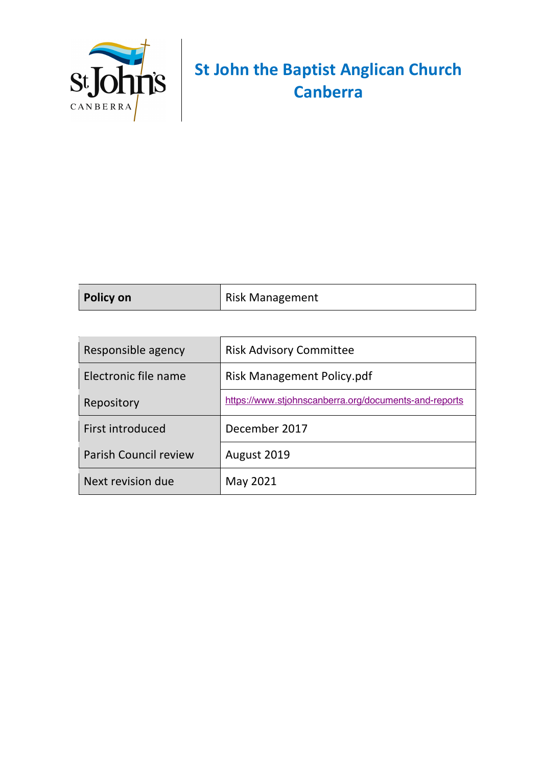

# **St John the Baptist Anglican Church Canberra**

| <b>Policy on</b> | Risk Management |
|------------------|-----------------|
|------------------|-----------------|

| Responsible agency           | <b>Risk Advisory Committee</b>                        |
|------------------------------|-------------------------------------------------------|
| Electronic file name         | <b>Risk Management Policy.pdf</b>                     |
| Repository                   | https://www.stjohnscanberra.org/documents-and-reports |
| First introduced             | December 2017                                         |
| <b>Parish Council review</b> | August 2019                                           |
| Next revision due            | May 2021                                              |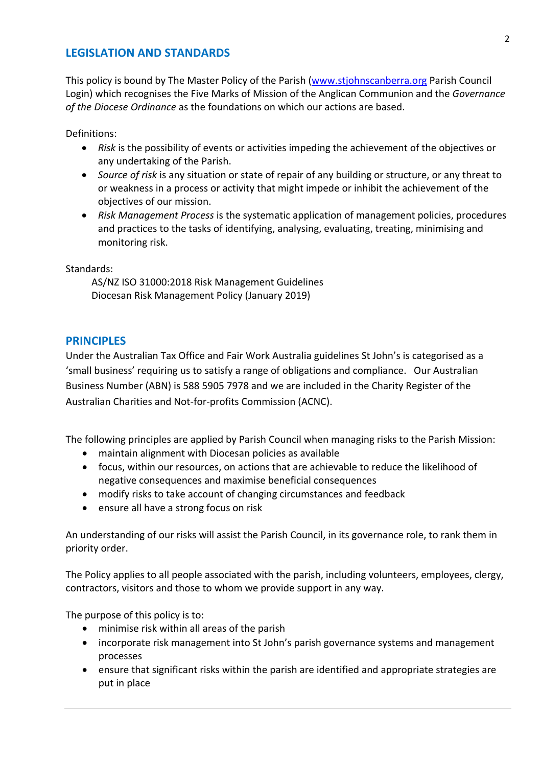### **LEGISLATION AND STANDARDS**

This policy is bound by The Master Policy of the Parish (www.stjohnscanberra.org Parish Council Login) which recognises the Five Marks of Mission of the Anglican Communion and the *Governance of the Diocese Ordinance* as the foundations on which our actions are based.

Definitions:

- *Risk* is the possibility of events or activities impeding the achievement of the objectives or any undertaking of the Parish.
- *Source of risk* is any situation or state of repair of any building or structure, or any threat to or weakness in a process or activity that might impede or inhibit the achievement of the objectives of our mission.
- *Risk Management Process* is the systematic application of management policies, procedures and practices to the tasks of identifying, analysing, evaluating, treating, minimising and monitoring risk.

Standards:

AS/NZ ISO 31000:2018 Risk Management Guidelines Diocesan Risk Management Policy (January 2019)

### **PRINCIPLES**

Under the Australian Tax Office and Fair Work Australia guidelines St John's is categorised as a 'small business' requiring us to satisfy a range of obligations and compliance. Our Australian Business Number (ABN) is 588 5905 7978 and we are included in the Charity Register of the Australian Charities and Not-for-profits Commission (ACNC).

The following principles are applied by Parish Council when managing risks to the Parish Mission:

- maintain alignment with Diocesan policies as available
- focus, within our resources, on actions that are achievable to reduce the likelihood of negative consequences and maximise beneficial consequences
- modify risks to take account of changing circumstances and feedback
- ensure all have a strong focus on risk

An understanding of our risks will assist the Parish Council, in its governance role, to rank them in priority order.

The Policy applies to all people associated with the parish, including volunteers, employees, clergy, contractors, visitors and those to whom we provide support in any way.

The purpose of this policy is to:

- minimise risk within all areas of the parish
- incorporate risk management into St John's parish governance systems and management processes
- ensure that significant risks within the parish are identified and appropriate strategies are put in place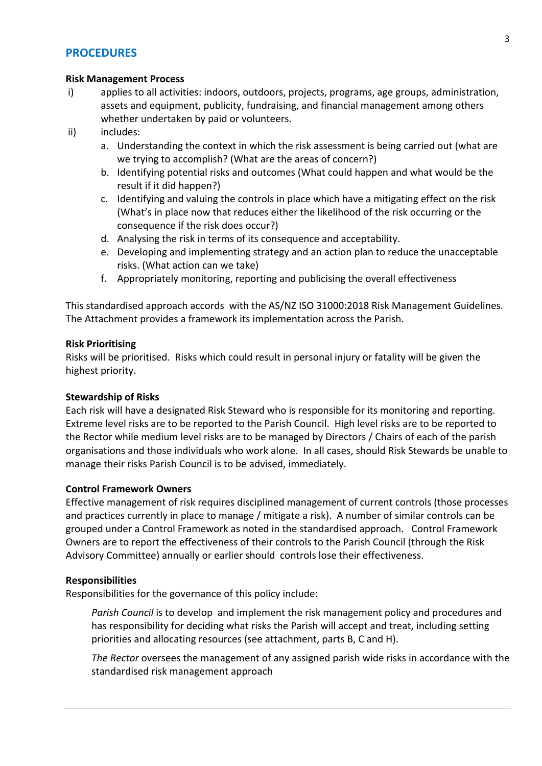### **PROCEDURES**

### **Risk Management Process**

- i) applies to all activities: indoors, outdoors, projects, programs, age groups, administration, assets and equipment, publicity, fundraising, and financial management among others whether undertaken by paid or volunteers.
- ii) includes:
	- a. Understanding the context in which the risk assessment is being carried out (what are we trying to accomplish? (What are the areas of concern?)
	- b. Identifying potential risks and outcomes (What could happen and what would be the result if it did happen?)
	- c. Identifying and valuing the controls in place which have a mitigating effect on the risk (What's in place now that reduces either the likelihood of the risk occurring or the consequence if the risk does occur?)
	- d. Analysing the risk in terms of its consequence and acceptability.
	- e. Developing and implementing strategy and an action plan to reduce the unacceptable risks. (What action can we take)
	- f. Appropriately monitoring, reporting and publicising the overall effectiveness

This standardised approach accords with the AS/NZ ISO 31000:2018 Risk Management Guidelines. The Attachment provides a framework its implementation across the Parish.

### **Risk Prioritising**

Risks will be prioritised. Risks which could result in personal injury or fatality will be given the highest priority.

### **Stewardship of Risks**

Each risk will have a designated Risk Steward who is responsible for its monitoring and reporting. Extreme level risks are to be reported to the Parish Council. High level risks are to be reported to the Rector while medium level risks are to be managed by Directors / Chairs of each of the parish organisations and those individuals who work alone. In all cases, should Risk Stewards be unable to manage their risks Parish Council is to be advised, immediately.

### **Control Framework Owners**

Effective management of risk requires disciplined management of current controls (those processes and practices currently in place to manage / mitigate a risk). A number of similar controls can be grouped under a Control Framework as noted in the standardised approach. Control Framework Owners are to report the effectiveness of their controls to the Parish Council (through the Risk Advisory Committee) annually or earlier should controls lose their effectiveness.

### **Responsibilities**

Responsibilities for the governance of this policy include:

*Parish Council* is to develop and implement the risk management policy and procedures and has responsibility for deciding what risks the Parish will accept and treat, including setting priorities and allocating resources (see attachment, parts B, C and H).

*The Rector* oversees the management of any assigned parish wide risks in accordance with the standardised risk management approach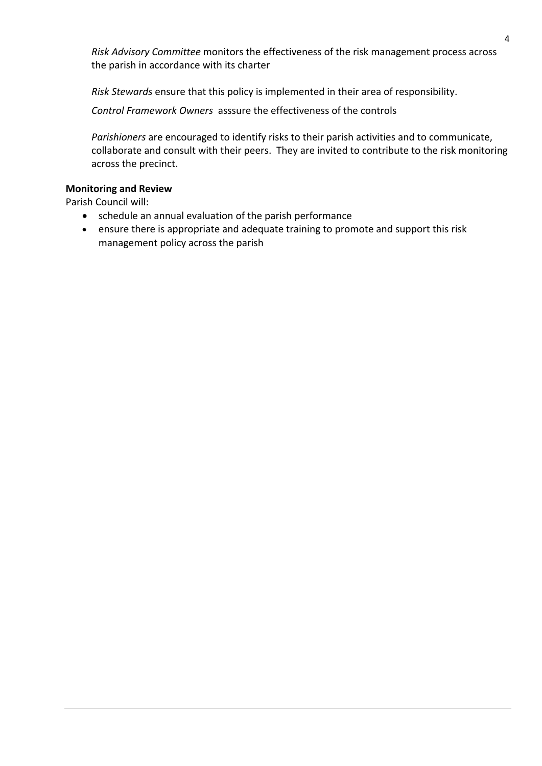*Risk Advisory Committee* monitors the effectiveness of the risk management process across the parish in accordance with its charter

*Risk Stewards* ensure that this policy is implemented in their area of responsibility.

*Control Framework Owners* asssure the effectiveness of the controls

*Parishioners* are encouraged to identify risks to their parish activities and to communicate, collaborate and consult with their peers. They are invited to contribute to the risk monitoring across the precinct.

### **Monitoring and Review**

Parish Council will:

- schedule an annual evaluation of the parish performance
- ensure there is appropriate and adequate training to promote and support this risk management policy across the parish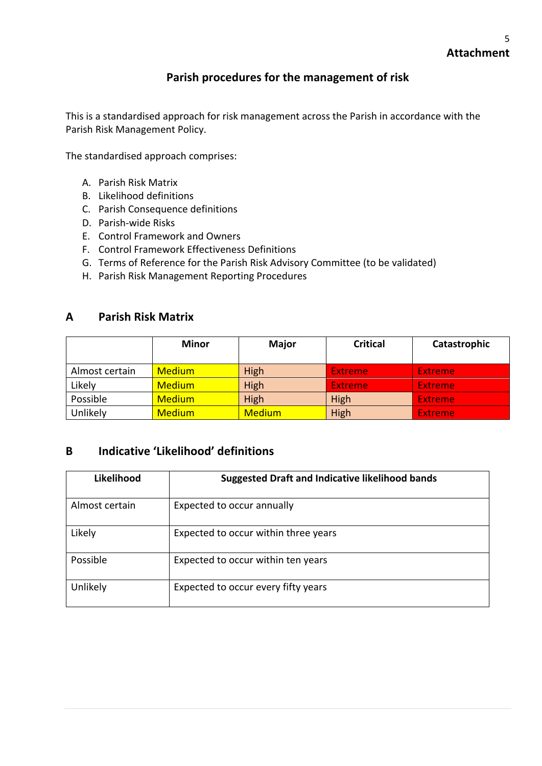## **Parish procedures for the management of risk**

This is a standardised approach for risk management across the Parish in accordance with the Parish Risk Management Policy.

The standardised approach comprises:

- A. Parish Risk Matrix
- B. Likelihood definitions
- C. Parish Consequence definitions
- D. Parish-wide Risks
- E. Control Framework and Owners
- F. Control Framework Effectiveness Definitions
- G. Terms of Reference for the Parish Risk Advisory Committee (to be validated)
- H. Parish Risk Management Reporting Procedures

### **A Parish Risk Matrix**

|                | <b>Minor</b>  | <b>Major</b>  | <b>Critical</b> | Catastrophic   |
|----------------|---------------|---------------|-----------------|----------------|
| Almost certain | <b>Medium</b> | High          | <b>Extreme</b>  | <b>Extreme</b> |
| Likely         | <b>Medium</b> | High          | <b>Extreme</b>  | <b>Extreme</b> |
| Possible       | <b>Medium</b> | High          | <b>High</b>     | <b>Extreme</b> |
| Unlikely       | <b>Medium</b> | <b>Medium</b> | High            | <b>Extreme</b> |

### **B Indicative 'Likelihood' definitions**

| Likelihood     | <b>Suggested Draft and Indicative likelihood bands</b> |
|----------------|--------------------------------------------------------|
| Almost certain | Expected to occur annually                             |
| Likely         | Expected to occur within three years                   |
| Possible       | Expected to occur within ten years                     |
| Unlikely       | Expected to occur every fifty years                    |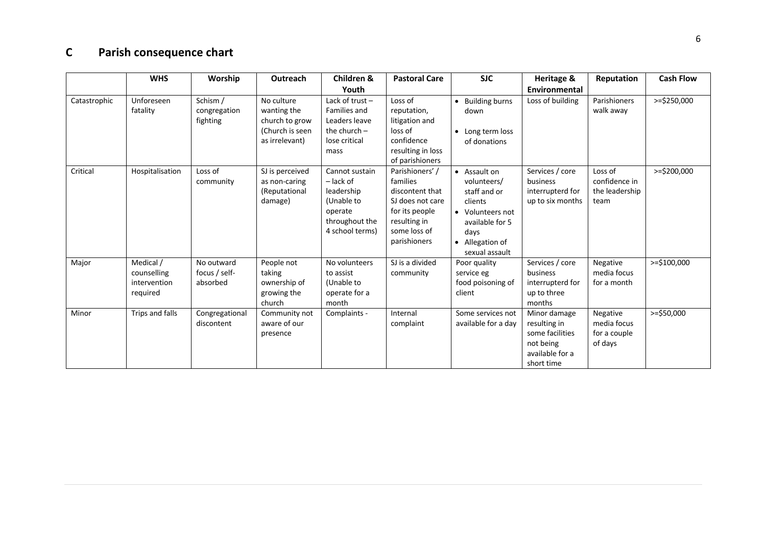## **C Parish consequence chart**

|              | <b>WHS</b>                                           | Worship                                 | Outreach                                                                         | Children &<br>Youth                                                                                       | <b>Pastoral Care</b>                                                                                                                | <b>SJC</b>                                                                                                                                 | Heritage &<br>Environmental                                                                   | Reputation                                         | <b>Cash Flow</b> |
|--------------|------------------------------------------------------|-----------------------------------------|----------------------------------------------------------------------------------|-----------------------------------------------------------------------------------------------------------|-------------------------------------------------------------------------------------------------------------------------------------|--------------------------------------------------------------------------------------------------------------------------------------------|-----------------------------------------------------------------------------------------------|----------------------------------------------------|------------------|
| Catastrophic | Unforeseen<br>fatality                               | Schism /<br>congregation<br>fighting    | No culture<br>wanting the<br>church to grow<br>(Church is seen<br>as irrelevant) | Lack of trust $-$<br>Families and<br>Leaders leave<br>the church $-$<br>lose critical<br>mass             | Loss of<br>reputation,<br>litigation and<br>loss of<br>confidence<br>resulting in loss<br>of parishioners                           | • Building burns<br>down<br>• Long term loss<br>of donations                                                                               | Loss of building                                                                              | Parishioners<br>walk away                          | $>=$ \$250,000   |
| Critical     | Hospitalisation                                      | Loss of<br>community                    | SJ is perceived<br>as non-caring<br>(Reputational<br>damage)                     | Cannot sustain<br>$-$ lack of<br>leadership<br>(Unable to<br>operate<br>throughout the<br>4 school terms) | Parishioners'/<br>families<br>discontent that<br>SJ does not care<br>for its people<br>resulting in<br>some loss of<br>parishioners | • Assault on<br>volunteers/<br>staff and or<br>clients<br>• Volunteers not<br>available for 5<br>days<br>• Allegation of<br>sexual assault | Services / core<br>business<br>interrupterd for<br>up to six months                           | Loss of<br>confidence in<br>the leadership<br>team | >=\$200,000      |
| Major        | Medical /<br>counselling<br>intervention<br>required | No outward<br>focus / self-<br>absorbed | People not<br>taking<br>ownership of<br>growing the<br>church                    | No volunteers<br>to assist<br>(Unable to<br>operate for a<br>month                                        | SJ is a divided<br>community                                                                                                        | Poor quality<br>service eg<br>food poisoning of<br>client                                                                                  | Services / core<br>business<br>interrupterd for<br>up to three<br>months                      | Negative<br>media focus<br>for a month             | $>=$ \$100,000   |
| Minor        | Trips and falls                                      | Congregational<br>discontent            | Community not<br>aware of our<br>presence                                        | Complaints -                                                                                              | Internal<br>complaint                                                                                                               | Some services not<br>available for a day                                                                                                   | Minor damage<br>resulting in<br>some facilities<br>not being<br>available for a<br>short time | Negative<br>media focus<br>for a couple<br>of days | $>=$ \$50,000    |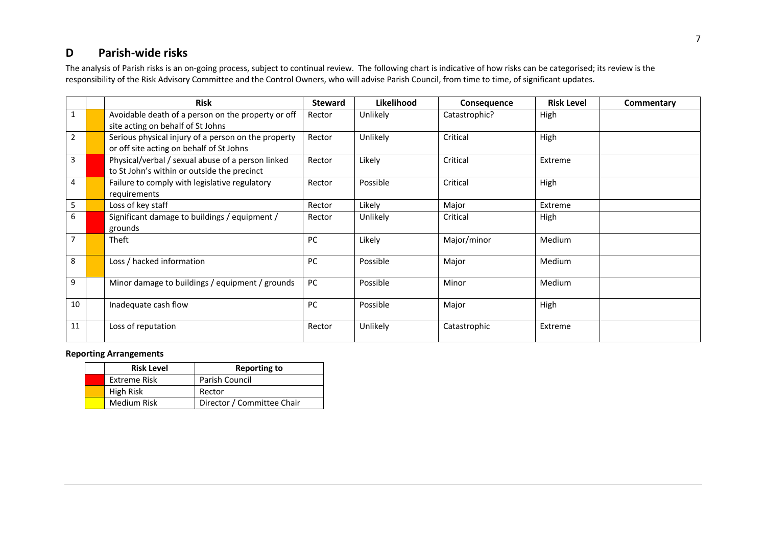## **D Parish-wide risks**

The analysis of Parish risks is an on-going process, subject to continual review. The following chart is indicative of how risks can be categorised; its review is the responsibility of the Risk Advisory Committee and the Control Owners, who will advise Parish Council, from time to time, of significant updates.

|                | <b>Risk</b>                                                                                      | <b>Steward</b> | Likelihood | Consequence   | <b>Risk Level</b> | Commentary |
|----------------|--------------------------------------------------------------------------------------------------|----------------|------------|---------------|-------------------|------------|
|                | Avoidable death of a person on the property or off<br>site acting on behalf of St Johns          | Rector         | Unlikely   | Catastrophic? | High              |            |
| $\overline{2}$ | Serious physical injury of a person on the property<br>or off site acting on behalf of St Johns  | Rector         | Unlikely   | Critical      | High              |            |
| 3              | Physical/verbal / sexual abuse of a person linked<br>to St John's within or outside the precinct | Rector         | Likely     | Critical      | Extreme           |            |
| 4              | Failure to comply with legislative regulatory<br>requirements                                    | Rector         | Possible   | Critical      | High              |            |
| 5              | Loss of key staff                                                                                | Rector         | Likely     | Major         | Extreme           |            |
| 6              | Significant damage to buildings / equipment /<br>grounds                                         | Rector         | Unlikely   | Critical      | High              |            |
| $\overline{7}$ | Theft                                                                                            | PC             | Likely     | Major/minor   | Medium            |            |
| 8              | Loss / hacked information                                                                        | <b>PC</b>      | Possible   | Major         | Medium            |            |
| 9              | Minor damage to buildings / equipment / grounds                                                  | PC             | Possible   | Minor         | Medium            |            |
| 10             | Inadequate cash flow                                                                             | PC             | Possible   | Major         | High              |            |
| 11             | Loss of reputation                                                                               | Rector         | Unlikely   | Catastrophic  | Extreme           |            |

### **Reporting Arrangements**

| <b>Risk Level</b> | <b>Reporting to</b>        |  |  |  |  |
|-------------------|----------------------------|--|--|--|--|
| Extreme Risk      | Parish Council             |  |  |  |  |
| High Risk         | Rector                     |  |  |  |  |
| Medium Risk       | Director / Committee Chair |  |  |  |  |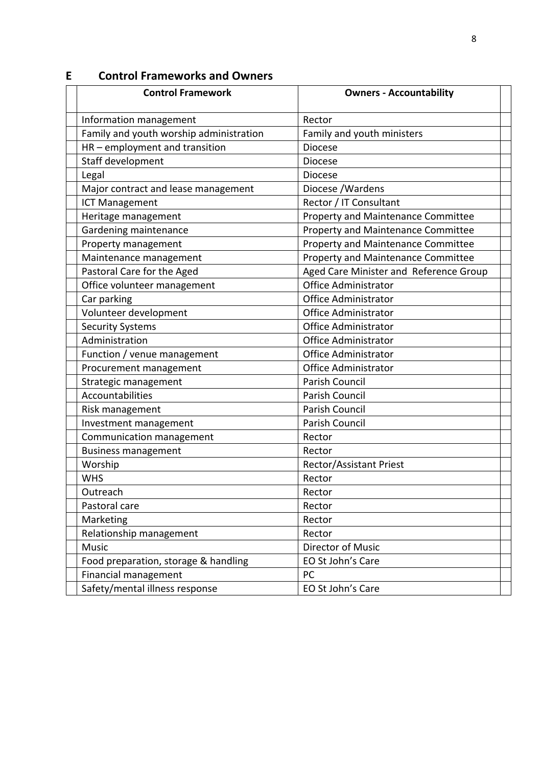## **Control Framework Owners - Accountability** Information management Rector Family and youth worship administration  $\vert$  Family and youth ministers  $HR$  – employment and transition  $\vert$  Diocese Staff development 3. Diocese Legal and the contract of the contract of the contract of the contract of the contract of the contract of the contract of the contract of the contract of the contract of the contract of the contract of the contract of the Major contract and lease management | Diocese /Wardens ICT Management **6. Rector / IT Consultant** Heritage management **Property and Maintenance Committee** Gardening maintenance **Property and Maintenance Committee** Property management **Property and Maintenance Committee** Maintenance management **Property and Maintenance Committee** Pastoral Care for the Aged 10. Aged Care Minister and Reference Group Office volunteer management **Office Administrator** Car parking **Caracter Caracter Caracter Caracter Caracter Caracter Caracter Caracter Caracter Caracter Caracter Caracter Caracter Caracter Caracter Caracter Caracter Caracter Caracter Cara** Volunteer development and 11. Office Administrator Security Systems **Contract Contract Contract Contract Contract Contract Contract Contract Contract Contract Contract Contract Contract Contract Contract Contract Contract Contract Contract Contract Contract Contract Contra** Administration 13. Office Administrator Function / venue management and all Office Administrator Procurement management and all office Administrator Strategic management Parish Council Accountabilities **Accountabilities A** Parish Council Risk management **Parish Council** Parish Council Investment management **Investment** Parish Council Communication management Rector Business management Rector Worship 7. Rector/Assistant Priest WHS Rector Outreach and a set of the set of the set of the set of the set of the set of the set of the set of the set of the set of the set of the set of the set of the set of the set of the set of the set of the set of the set of th Pastoral care and all experiences are rectored as a Rector Marketing and 18. Rector Relationship management Rector Music **3. Director of Music** Food preparation, storage & handling Food preparation, storage & handling Food St John's Care Financial management PC Safety/mental illness response | EO St John's Care

### **E Control Frameworks and Owners**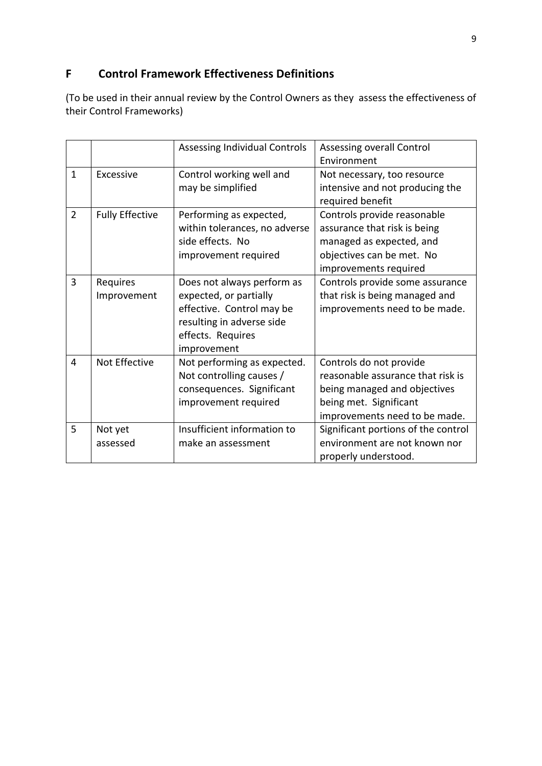## **F Control Framework Effectiveness Definitions**

(To be used in their annual review by the Control Owners as they assess the effectiveness of their Control Frameworks)

|                |                        | <b>Assessing Individual Controls</b> | Assessing overall Control           |
|----------------|------------------------|--------------------------------------|-------------------------------------|
|                |                        |                                      | Environment                         |
| $\mathbf{1}$   | Excessive              | Control working well and             | Not necessary, too resource         |
|                |                        | may be simplified                    | intensive and not producing the     |
|                |                        |                                      | required benefit                    |
| $\overline{2}$ | <b>Fully Effective</b> | Performing as expected,              | Controls provide reasonable         |
|                |                        | within tolerances, no adverse        | assurance that risk is being        |
|                |                        | side effects. No                     | managed as expected, and            |
|                |                        | improvement required                 | objectives can be met. No           |
|                |                        |                                      | improvements required               |
| 3              | Requires               | Does not always perform as           | Controls provide some assurance     |
|                | Improvement            | expected, or partially               | that risk is being managed and      |
|                |                        | effective. Control may be            | improvements need to be made.       |
|                |                        | resulting in adverse side            |                                     |
|                |                        | effects. Requires                    |                                     |
|                |                        | improvement                          |                                     |
| 4              | Not Effective          | Not performing as expected.          | Controls do not provide             |
|                |                        | Not controlling causes /             | reasonable assurance that risk is   |
|                |                        | consequences. Significant            | being managed and objectives        |
|                |                        | improvement required                 | being met. Significant              |
|                |                        |                                      | improvements need to be made.       |
| 5              | Not yet                | Insufficient information to          | Significant portions of the control |
|                | assessed               | make an assessment                   | environment are not known nor       |
|                |                        |                                      | properly understood.                |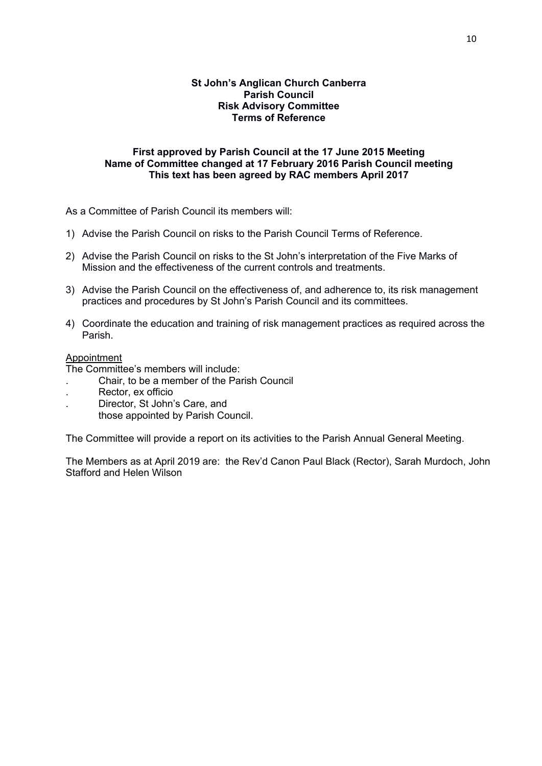### **St John's Anglican Church Canberra Parish Council Risk Advisory Committee Terms of Reference**

### **First approved by Parish Council at the 17 June 2015 Meeting Name of Committee changed at 17 February 2016 Parish Council meeting This text has been agreed by RAC members April 2017**

As a Committee of Parish Council its members will:

- 1) Advise the Parish Council on risks to the Parish Council Terms of Reference.
- 2) Advise the Parish Council on risks to the St John's interpretation of the Five Marks of Mission and the effectiveness of the current controls and treatments.
- 3) Advise the Parish Council on the effectiveness of, and adherence to, its risk management practices and procedures by St John's Parish Council and its committees.
- 4) Coordinate the education and training of risk management practices as required across the Parish.

### Appointment

The Committee's members will include:

- . Chair, to be a member of the Parish Council
- . Rector, ex officio
- . Director, St John's Care, and
	- those appointed by Parish Council.

The Committee will provide a report on its activities to the Parish Annual General Meeting.

The Members as at April 2019 are: the Rev'd Canon Paul Black (Rector), Sarah Murdoch, John Stafford and Helen Wilson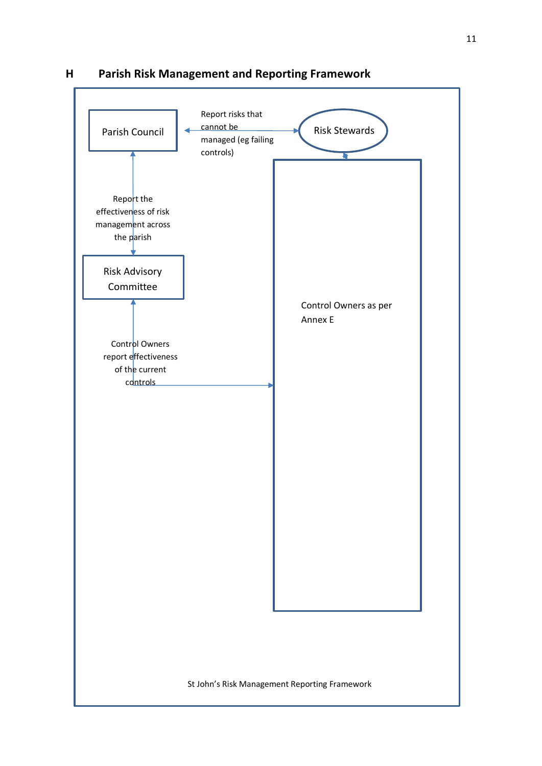

**H Parish Risk Management and Reporting Framework**